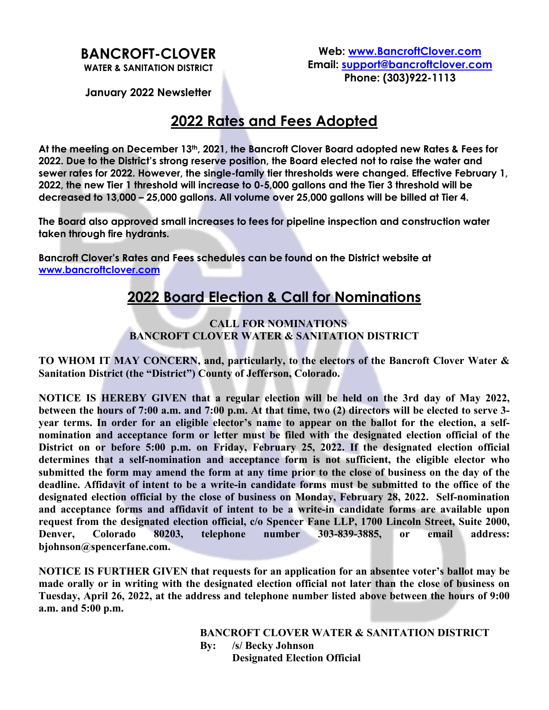# **BANCROFT-CLOVER**

**Web: www.BancroftClover.com Email: support@bancroftclover.com Phone: (303)922-1113**

**WATER & SANITATION DISTRICT**

#### **January 2022 Newsletter**

### **2022 Rates and Fees Adopted**

**At the meeting on December 13th, 2021, the Bancroft Clover Board adopted new Rates & Fees for 2022. Due to the District's strong reserve position, the Board elected not to raise the water and sewer rates for 2022. However, the single-family tier thresholds were changed. Effective February 1, 2022, the new Tier 1 threshold will increase to 0-5,000 gallons and the Tier 3 threshold will be decreased to 13,000 – 25,000 gallons. All volume over 25,000 gallons will be billed at Tier 4.**

**The Board also approved small increases to fees for pipeline inspection and construction water taken through fire hydrants.** 

**Bancroft Clover's Rates and Fees schedules can be found on the District website at www.bancroftclover.com**

### **2022 Board Election & Call for Nominations**

#### **CALL FOR NOMINATIONS BANCROFT CLOVER WATER & SANITATION DISTRICT**

**TO WHOM IT MAY CONCERN, and, particularly, to the electors of the Bancroft Clover Water & Sanitation District (the "District") County of Jefferson, Colorado.**

**NOTICE IS HEREBY GIVEN that a regular election will be held on the 3rd day of May 2022, between the hours of 7:00 a.m. and 7:00 p.m. At that time, two (2) directors will be elected to serve 3 year terms. In order for an eligible elector's name to appear on the ballot for the election, a selfnomination and acceptance form or letter must be filed with the designated election official of the District on or before 5:00 p.m. on Friday, February 25, 2022. If the designated election official determines that a self-nomination and acceptance form is not sufficient, the eligible elector who submitted the form may amend the form at any time prior to the close of business on the day of the deadline. Affidavit of intent to be a write-in candidate forms must be submitted to the office of the designated election official by the close of business on Monday, February 28, 2022. Self-nomination and acceptance forms and affidavit of intent to be a write-in candidate forms are available upon request from the designated election official, c/o Spencer Fane LLP, 1700 Lincoln Street, Suite 2000, Denver, Colorado 80203, telephone number 303-839-3885, or email address: bjohnson@spencerfane.com.**

**NOTICE IS FURTHER GIVEN that requests for an application for an absentee voter's ballot may be made orally or in writing with the designated election official not later than the close of business on Tuesday, April 26, 2022, at the address and telephone number listed above between the hours of 9:00 a.m. and 5:00 p.m.**

> **BANCROFT CLOVER WATER & SANITATION DISTRICT By: /s/ Becky Johnson Designated Election Official**